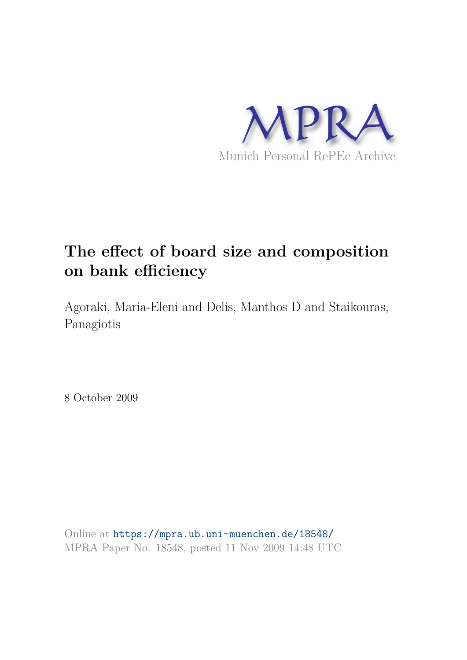

# **The effect of board size and composition on bank efficiency**

Agoraki, Maria-Eleni and Delis, Manthos D and Staikouras, Panagiotis

8 October 2009

Online at https://mpra.ub.uni-muenchen.de/18548/ MPRA Paper No. 18548, posted 11 Nov 2009 14:48 UTC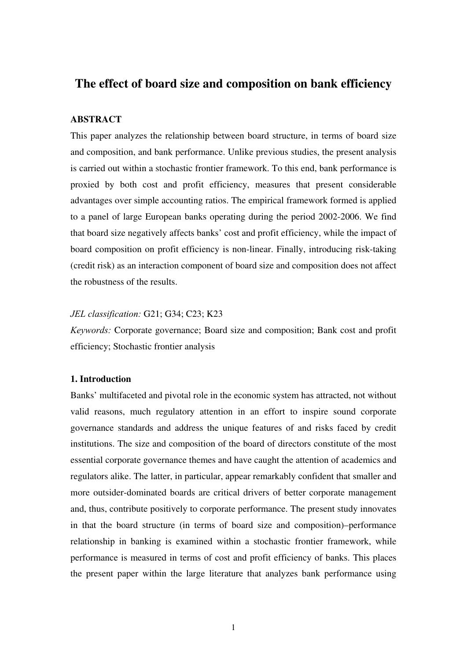# **The effect of board size and composition on bank efficiency**

## **ABSTRACT**

This paper analyzes the relationship between board structure, in terms of board size and composition, and bank performance. Unlike previous studies, the present analysis is carried out within a stochastic frontier framework. To this end, bank performance is proxied by both cost and profit efficiency, measures that present considerable advantages over simple accounting ratios. The empirical framework formed is applied to a panel of large European banks operating during the period 2002-2006. We find that board size negatively affects banks' cost and profit efficiency, while the impact of board composition on profit efficiency is non-linear. Finally, introducing risk-taking (credit risk) as an interaction component of board size and composition does not affect the robustness of the results.

#### *JEL classification:* G21; G34; C23; K23

*Keywords:* Corporate governance; Board size and composition; Bank cost and profit efficiency; Stochastic frontier analysis

#### **1. Introduction**

Banks' multifaceted and pivotal role in the economic system has attracted, not without valid reasons, much regulatory attention in an effort to inspire sound corporate governance standards and address the unique features of and risks faced by credit institutions. The size and composition of the board of directors constitute of the most essential corporate governance themes and have caught the attention of academics and regulators alike. The latter, in particular, appear remarkably confident that smaller and more outsider-dominated boards are critical drivers of better corporate management and, thus, contribute positively to corporate performance. The present study innovates in that the board structure (in terms of board size and composition)–performance relationship in banking is examined within a stochastic frontier framework, while performance is measured in terms of cost and profit efficiency of banks. This places the present paper within the large literature that analyzes bank performance using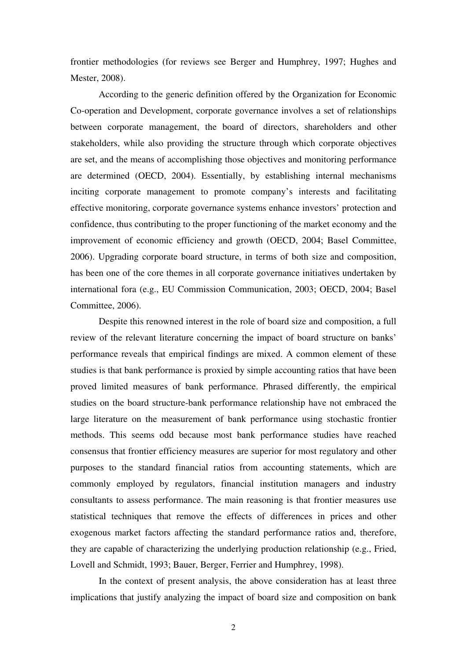frontier methodologies (for reviews see Berger and Humphrey, 1997; Hughes and Mester, 2008).

According to the generic definition offered by the Organization for Economic Co-operation and Development, corporate governance involves a set of relationships between corporate management, the board of directors, shareholders and other stakeholders, while also providing the structure through which corporate objectives are set, and the means of accomplishing those objectives and monitoring performance are determined (OECD, 2004). Essentially, by establishing internal mechanisms inciting corporate management to promote company's interests and facilitating effective monitoring, corporate governance systems enhance investors' protection and confidence, thus contributing to the proper functioning of the market economy and the improvement of economic efficiency and growth (OECD, 2004; Basel Committee, 2006). Upgrading corporate board structure, in terms of both size and composition, has been one of the core themes in all corporate governance initiatives undertaken by international fora (e.g., EU Commission Communication, 2003; OECD, 2004; Basel Committee, 2006).

Despite this renowned interest in the role of board size and composition, a full review of the relevant literature concerning the impact of board structure on banks' performance reveals that empirical findings are mixed. A common element of these studies is that bank performance is proxied by simple accounting ratios that have been proved limited measures of bank performance. Phrased differently, the empirical studies on the board structure-bank performance relationship have not embraced the large literature on the measurement of bank performance using stochastic frontier methods. This seems odd because most bank performance studies have reached consensus that frontier efficiency measures are superior for most regulatory and other purposes to the standard financial ratios from accounting statements, which are commonly employed by regulators, financial institution managers and industry consultants to assess performance. The main reasoning is that frontier measures use statistical techniques that remove the effects of differences in prices and other exogenous market factors affecting the standard performance ratios and, therefore, they are capable of characterizing the underlying production relationship (e.g., Fried, Lovell and Schmidt, 1993; Bauer, Berger, Ferrier and Humphrey, 1998).

In the context of present analysis, the above consideration has at least three implications that justify analyzing the impact of board size and composition on bank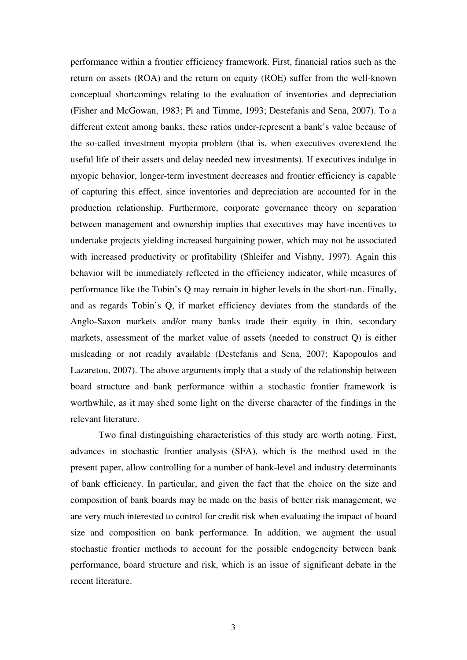performance within a frontier efficiency framework. First, financial ratios such as the return on assets (ROA) and the return on equity (ROE) suffer from the well-known conceptual shortcomings relating to the evaluation of inventories and depreciation (Fisher and McGowan, 1983; Pi and Timme, 1993; Destefanis and Sena, 2007). To a different extent among banks, these ratios under-represent a bank's value because of the so-called investment myopia problem (that is, when executives overextend the useful life of their assets and delay needed new investments). If executives indulge in myopic behavior, longer-term investment decreases and frontier efficiency is capable of capturing this effect, since inventories and depreciation are accounted for in the production relationship. Furthermore, corporate governance theory on separation between management and ownership implies that executives may have incentives to undertake projects yielding increased bargaining power, which may not be associated with increased productivity or profitability (Shleifer and Vishny, 1997). Again this behavior will be immediately reflected in the efficiency indicator, while measures of performance like the Tobin's Q may remain in higher levels in the short-run. Finally, and as regards Tobin's Q, if market efficiency deviates from the standards of the Anglo-Saxon markets and/or many banks trade their equity in thin, secondary markets, assessment of the market value of assets (needed to construct Q) is either misleading or not readily available (Destefanis and Sena, 2007; Kapopoulos and Lazaretou, 2007). The above arguments imply that a study of the relationship between board structure and bank performance within a stochastic frontier framework is worthwhile, as it may shed some light on the diverse character of the findings in the relevant literature.

Two final distinguishing characteristics of this study are worth noting. First, advances in stochastic frontier analysis (SFA), which is the method used in the present paper, allow controlling for a number of bank-level and industry determinants of bank efficiency. In particular, and given the fact that the choice on the size and composition of bank boards may be made on the basis of better risk management, we are very much interested to control for credit risk when evaluating the impact of board size and composition on bank performance. In addition, we augment the usual stochastic frontier methods to account for the possible endogeneity between bank performance, board structure and risk, which is an issue of significant debate in the recent literature.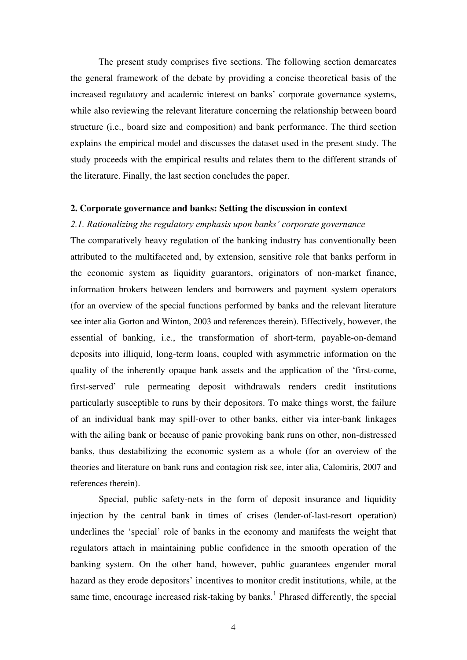The present study comprises five sections. The following section demarcates the general framework of the debate by providing a concise theoretical basis of the increased regulatory and academic interest on banks' corporate governance systems, while also reviewing the relevant literature concerning the relationship between board structure (i.e., board size and composition) and bank performance. The third section explains the empirical model and discusses the dataset used in the present study. The study proceeds with the empirical results and relates them to the different strands of the literature. Finally, the last section concludes the paper.

#### **2. Corporate governance and banks: Setting the discussion in context**

### *2.1. Rationalizing the regulatory emphasis upon banks' corporate governance*

The comparatively heavy regulation of the banking industry has conventionally been attributed to the multifaceted and, by extension, sensitive role that banks perform in the economic system as liquidity guarantors, originators of non-market finance, information brokers between lenders and borrowers and payment system operators (for an overview of the special functions performed by banks and the relevant literature see inter alia Gorton and Winton, 2003 and references therein). Effectively, however, the essential of banking, i.e., the transformation of short-term, payable-on-demand deposits into illiquid, long-term loans, coupled with asymmetric information on the quality of the inherently opaque bank assets and the application of the 'first-come, first-served' rule permeating deposit withdrawals renders credit institutions particularly susceptible to runs by their depositors. To make things worst, the failure of an individual bank may spill-over to other banks, either via inter-bank linkages with the ailing bank or because of panic provoking bank runs on other, non-distressed banks, thus destabilizing the economic system as a whole (for an overview of the theories and literature on bank runs and contagion risk see, inter alia, Calomiris, 2007 and references therein).

Special, public safety-nets in the form of deposit insurance and liquidity injection by the central bank in times of crises (lender-of-last-resort operation) underlines the 'special' role of banks in the economy and manifests the weight that regulators attach in maintaining public confidence in the smooth operation of the banking system. On the other hand, however, public guarantees engender moral hazard as they erode depositors' incentives to monitor credit institutions, while, at the same time, encourage increased risk-taking by banks.<sup>[1](#page-29-0)</sup> Phrased differently, the special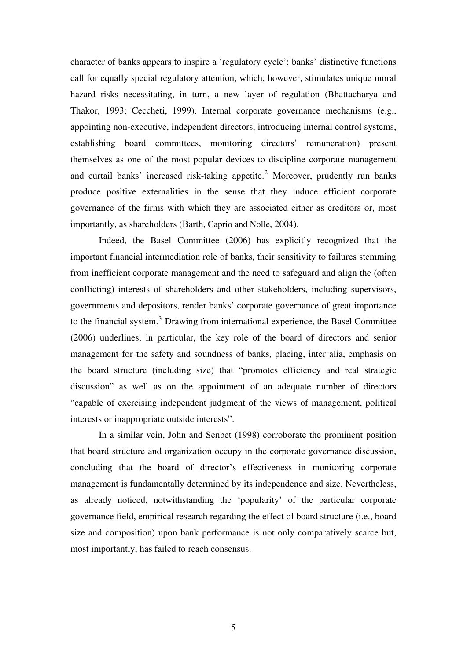character of banks appears to inspire a 'regulatory cycle': banks' distinctive functions call for equally special regulatory attention, which, however, stimulates unique moral hazard risks necessitating, in turn, a new layer of regulation (Bhattacharya and Thakor, 1993; Ceccheti, 1999). Internal corporate governance mechanisms (e.g., appointing non-executive, independent directors, introducing internal control systems, establishing board committees, monitoring directors' remuneration) present themselves as one of the most popular devices to discipline corporate management and curtail banks' increased risk-taking appetite.<sup>[2](#page-29-1)</sup> Moreover, prudently run banks produce positive externalities in the sense that they induce efficient corporate governance of the firms with which they are associated either as creditors or, most importantly, as shareholders (Barth, Caprio and Nolle, 2004).

Indeed, the Basel Committee (2006) has explicitly recognized that the important financial intermediation role of banks, their sensitivity to failures stemming from inefficient corporate management and the need to safeguard and align the (often conflicting) interests of shareholders and other stakeholders, including supervisors, governments and depositors, render banks' corporate governance of great importance to the financial system.<sup>[3](#page-29-1)</sup> Drawing from international experience, the Basel Committee (2006) underlines, in particular, the key role of the board of directors and senior management for the safety and soundness of banks, placing, inter alia, emphasis on the board structure (including size) that "promotes efficiency and real strategic discussion" as well as on the appointment of an adequate number of directors "capable of exercising independent judgment of the views of management, political interests or inappropriate outside interests".

In a similar vein, John and Senbet (1998) corroborate the prominent position that board structure and organization occupy in the corporate governance discussion, concluding that the board of director's effectiveness in monitoring corporate management is fundamentally determined by its independence and size. Nevertheless, as already noticed, notwithstanding the 'popularity' of the particular corporate governance field, empirical research regarding the effect of board structure (i.e., board size and composition) upon bank performance is not only comparatively scarce but, most importantly, has failed to reach consensus.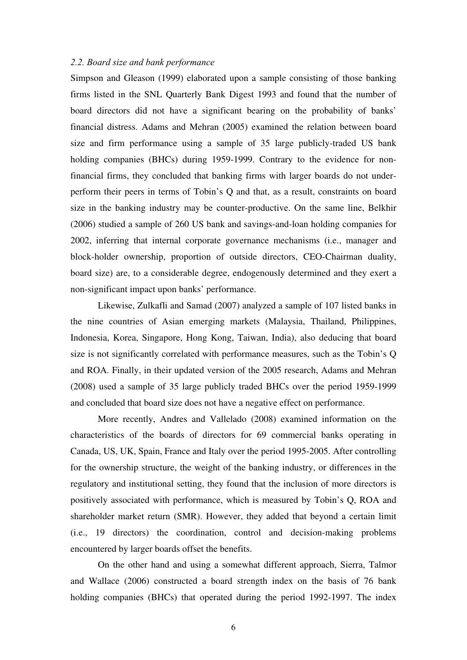#### *2.2. Board size and bank performance*

Simpson and Gleason (1999) elaborated upon a sample consisting of those banking firms listed in the SNL Quarterly Bank Digest 1993 and found that the number of board directors did not have a significant bearing on the probability of banks' financial distress. Adams and Mehran (2005) examined the relation between board size and firm performance using a sample of 35 large publicly-traded US bank holding companies (BHCs) during 1959-1999. Contrary to the evidence for nonfinancial firms, they concluded that banking firms with larger boards do not underperform their peers in terms of Tobin's Q and that, as a result, constraints on board size in the banking industry may be counter-productive. On the same line, Belkhir (2006) studied a sample of 260 US bank and savings-and-loan holding companies for 2002, inferring that internal corporate governance mechanisms (i.e., manager and block-holder ownership, proportion of outside directors, CEO-Chairman duality, board size) are, to a considerable degree, endogenously determined and they exert a non-significant impact upon banks' performance.

Likewise, Zulkafli and Samad (2007) analyzed a sample of 107 listed banks in the nine countries of Asian emerging markets (Malaysia, Thailand, Philippines, Indonesia, Korea, Singapore, Hong Kong, Taiwan, India), also deducing that board size is not significantly correlated with performance measures, such as the Tobin's Q and ROA. Finally, in their updated version of the 2005 research, Adams and Mehran (2008) used a sample of 35 large publicly traded BHCs over the period 1959-1999 and concluded that board size does not have a negative effect on performance.

More recently, Andres and Vallelado (2008) examined information on the characteristics of the boards of directors for 69 commercial banks operating in Canada, US, UK, Spain, France and Italy over the period 1995-2005. After controlling for the ownership structure, the weight of the banking industry, or differences in the regulatory and institutional setting, they found that the inclusion of more directors is positively associated with performance, which is measured by Tobin's Q, ROA and shareholder market return (SMR). However, they added that beyond a certain limit (i.e., 19 directors) the coordination, control and decision-making problems encountered by larger boards offset the benefits.

On the other hand and using a somewhat different approach, Sierra, Talmor and Wallace (2006) constructed a board strength index on the basis of 76 bank holding companies (BHCs) that operated during the period 1992-1997. The index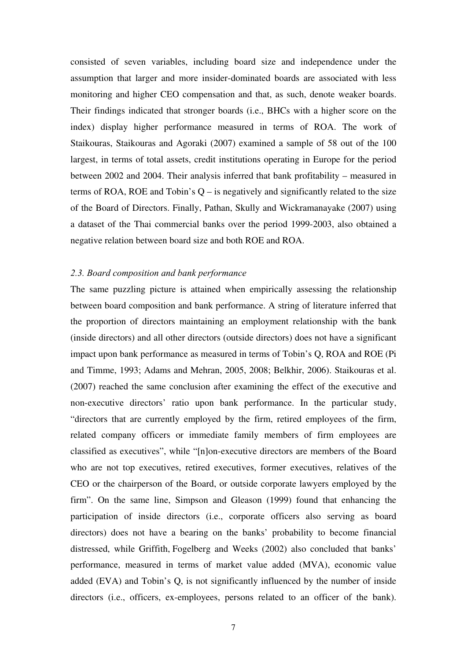consisted of seven variables, including board size and independence under the assumption that larger and more insider-dominated boards are associated with less monitoring and higher CEO compensation and that, as such, denote weaker boards. Their findings indicated that stronger boards (i.e., BHCs with a higher score on the index) display higher performance measured in terms of ROA. The work of Staikouras, Staikouras and Agoraki (2007) examined a sample of 58 out of the 100 largest, in terms of total assets, credit institutions operating in Europe for the period between 2002 and 2004. Their analysis inferred that bank profitability – measured in terms of ROA, ROE and Tobin's Q – is negatively and significantly related to the size of the Board of Directors. Finally, Pathan, Skully and Wickramanayake (2007) using a dataset of the Thai commercial banks over the period 1999-2003, also obtained a negative relation between board size and both ROE and ROA.

#### *2.3. Board composition and bank performance*

The same puzzling picture is attained when empirically assessing the relationship between board composition and bank performance. A string of literature inferred that the proportion of directors maintaining an employment relationship with the bank (inside directors) and all other directors (outside directors) does not have a significant impact upon bank performance as measured in terms of Tobin's Q, ROA and ROE (Pi and Timme, 1993; Adams and Mehran, 2005, 2008; Belkhir, 2006). Staikouras et al. (2007) reached the same conclusion after examining the effect of the executive and non-executive directors' ratio upon bank performance. In the particular study, "directors that are currently employed by the firm, retired employees of the firm, related company officers or immediate family members of firm employees are classified as executives", while "[n]on-executive directors are members of the Board who are not top executives, retired executives, former executives, relatives of the CEO or the chairperson of the Board, or outside corporate lawyers employed by the firm". On the same line, Simpson and Gleason (1999) found that enhancing the participation of inside directors (i.e., corporate officers also serving as board directors) does not have a bearing on the banks' probability to become financial distressed, while Griffith, Fogelberg and Weeks (2002) also concluded that banks' performance, measured in terms of market value added (MVA), economic value added (EVA) and Tobin's Q, is not significantly influenced by the number of inside directors (i.e., officers, ex-employees, persons related to an officer of the bank).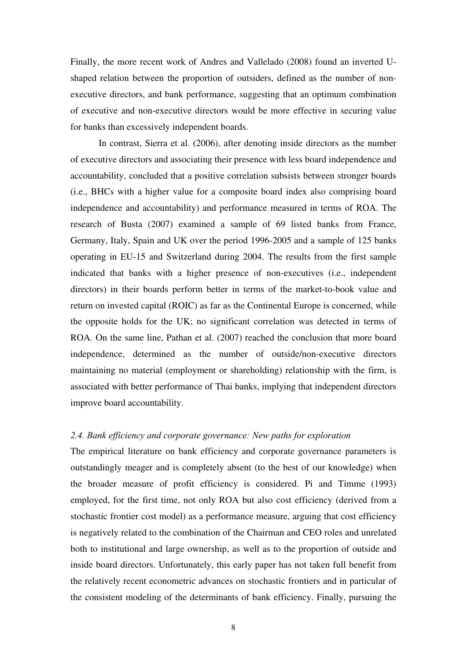Finally, the more recent work of Andres and Vallelado (2008) found an inverted Ushaped relation between the proportion of outsiders, defined as the number of nonexecutive directors, and bank performance, suggesting that an optimum combination of executive and non-executive directors would be more effective in securing value for banks than excessively independent boards.

In contrast, Sierra et al. (2006), after denoting inside directors as the number of executive directors and associating their presence with less board independence and accountability, concluded that a positive correlation subsists between stronger boards (i.e., BHCs with a higher value for a composite board index also comprising board independence and accountability) and performance measured in terms of ROA. The research of Busta (2007) examined a sample of 69 listed banks from France, Germany, Italy, Spain and UK over the period 1996-2005 and a sample of 125 banks operating in EU-15 and Switzerland during 2004. The results from the first sample indicated that banks with a higher presence of non-executives (i.e., independent directors) in their boards perform better in terms of the market-to-book value and return on invested capital (ROIC) as far as the Continental Europe is concerned, while the opposite holds for the UK; no significant correlation was detected in terms of ROA. On the same line, Pathan et al. (2007) reached the conclusion that more board independence, determined as the number of outside/non-executive directors maintaining no material (employment or shareholding) relationship with the firm, is associated with better performance of Thai banks, implying that independent directors improve board accountability.

#### *2.4. Bank efficiency and corporate governance: New paths for exploration*

The empirical literature on bank efficiency and corporate governance parameters is outstandingly meager and is completely absent (to the best of our knowledge) when the broader measure of profit efficiency is considered. Pi and Timme (1993) employed, for the first time, not only ROA but also cost efficiency (derived from a stochastic frontier cost model) as a performance measure, arguing that cost efficiency is negatively related to the combination of the Chairman and CEO roles and unrelated both to institutional and large ownership, as well as to the proportion of outside and inside board directors. Unfortunately, this early paper has not taken full benefit from the relatively recent econometric advances on stochastic frontiers and in particular of the consistent modeling of the determinants of bank efficiency. Finally, pursuing the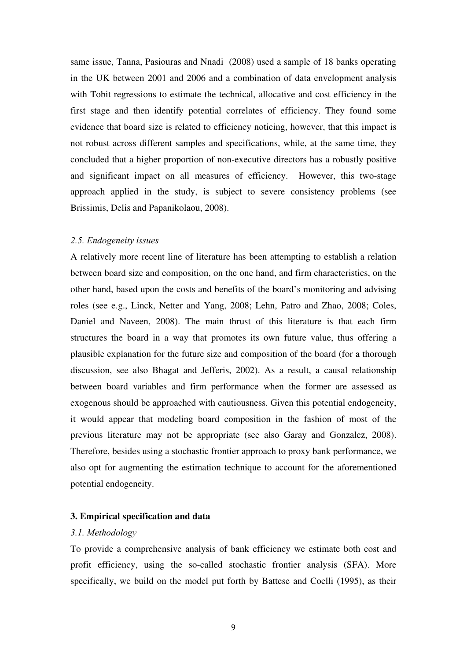same issue, Tanna, Pasiouras and Nnadi (2008) used a sample of 18 banks operating in the UK between 2001 and 2006 and a combination of data envelopment analysis with Tobit regressions to estimate the technical, allocative and cost efficiency in the first stage and then identify potential correlates of efficiency. They found some evidence that board size is related to efficiency noticing, however, that this impact is not robust across different samples and specifications, while, at the same time, they concluded that a higher proportion of non-executive directors has a robustly positive and significant impact on all measures of efficiency. However, this two-stage approach applied in the study, is subject to severe consistency problems (see Brissimis, Delis and Papanikolaou, 2008).

#### *2.5. Endogeneity issues*

A relatively more recent line of literature has been attempting to establish a relation between board size and composition, on the one hand, and firm characteristics, on the other hand, based upon the costs and benefits of the board's monitoring and advising roles (see e.g., Linck, Netter and Yang, 2008; Lehn, Patro and Zhao, 2008; Coles, Daniel and Naveen, 2008). The main thrust of this literature is that each firm structures the board in a way that promotes its own future value, thus offering a plausible explanation for the future size and composition of the board (for a thorough discussion, see also Bhagat and Jefferis, 2002). As a result, a causal relationship between board variables and firm performance when the former are assessed as exogenous should be approached with cautiousness. Given this potential endogeneity, it would appear that modeling board composition in the fashion of most of the previous literature may not be appropriate (see also Garay and Gonzalez, 2008). Therefore, besides using a stochastic frontier approach to proxy bank performance, we also opt for augmenting the estimation technique to account for the aforementioned potential endogeneity.

#### **3. Empirical specification and data**

#### *3.1. Methodology*

To provide a comprehensive analysis of bank efficiency we estimate both cost and profit efficiency, using the so-called stochastic frontier analysis (SFA). More specifically, we build on the model put forth by Battese and Coelli (1995), as their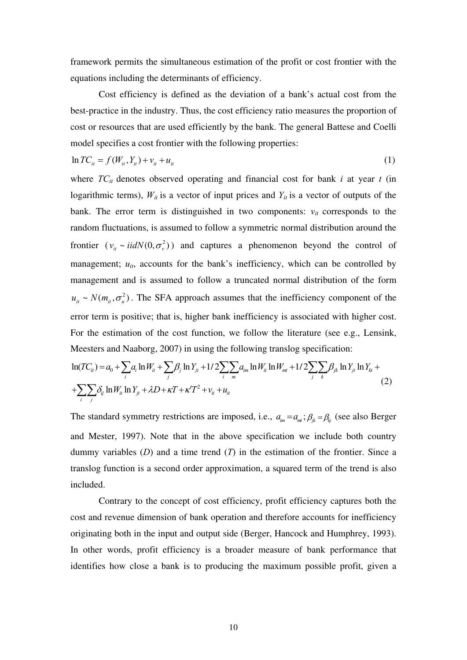framework permits the simultaneous estimation of the profit or cost frontier with the equations including the determinants of efficiency.

Cost efficiency is defined as the deviation of a bank's actual cost from the best-practice in the industry. Thus, the cost efficiency ratio measures the proportion of cost or resources that are used efficiently by the bank. The general Battese and Coelli model specifies a cost frontier with the following properties:

$$
\ln TC_{it} = f(W_{it}, Y_{it}) + v_{it} + u_{it}
$$
 (1)

frontier  $(v_{it} \sim \text{iid}N(0, \sigma_v^2))$  and captures a phenomenon beyond the control of where  $TC_{it}$  denotes observed operating and financial cost for bank  $i$  at year  $t$  (in logarithmic terms),  $W_{it}$  is a vector of input prices and  $Y_{it}$  is a vector of outputs of the bank. The error term is distinguished in two components:  $v_{it}$  corresponds to the random fluctuations, is assumed to follow a symmetric normal distribution around the management;  $u_{it}$ , accounts for the bank's inefficiency, which can be controlled by management and is assumed to follow a truncated normal distribution of the form  $u_{it} \sim N(m_{it}, \sigma_u^2)$ . The SFA approach assumes that the inefficiency component of the error term is positive; that is, higher bank inefficiency is associated with higher cost. For the estimation of the cost function, we follow the literature (see e.g., Lensink, Meesters and Naaborg, 2007) in using the following translog specification:

$$
\ln(TC_{it}) = a_0 + \sum_i a_i \ln W_{it} + \sum_j \beta_j \ln Y_{jt} + 1/2 \sum_i \sum_m a_{im} \ln W_{it} \ln W_{mt} + 1/2 \sum_j \sum_k \beta_{jk} \ln Y_{jt} \ln Y_{kt} +
$$
  
+
$$
\sum_i \sum_j \delta_{ij} \ln W_{it} \ln Y_{jt} + \lambda D + \kappa T + \kappa' T^2 + \nu_{it} + u_{it}
$$
 (2)

The standard symmetry restrictions are imposed, i.e.,  $a_{im} = a_{mi}$ ;  $\beta_{jk} = \beta_{kj}$  (see also Berger and Mester, 1997). Note that in the above specification we include both country dummy variables (*D*) and a time trend (*T*) in the estimation of the frontier. Since a translog function is a second order approximation, a squared term of the trend is also included.

Contrary to the concept of cost efficiency, profit efficiency captures both the cost and revenue dimension of bank operation and therefore accounts for inefficiency originating both in the input and output side (Berger, Hancock and Humphrey, 1993). In other words, profit efficiency is a broader measure of bank performance that identifies how close a bank is to producing the maximum possible profit, given a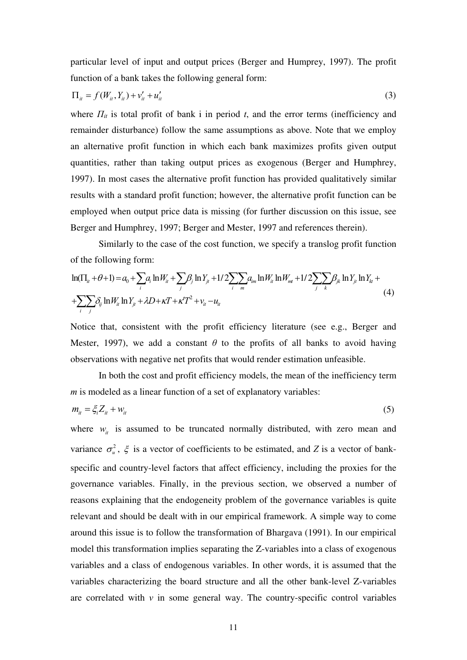particular level of input and output prices (Berger and Humprey, 1997). The profit function of a bank takes the following general form:

$$
\Pi_{it} = f(W_{it}, Y_{it}) + v_{it}^{\prime} + u_{it}^{\prime}
$$
\n(3)

where  $\Pi_{it}$  is total profit of bank i in period *t*, and the error terms (inefficiency and remainder disturbance) follow the same assumptions as above. Note that we employ an alternative profit function in which each bank maximizes profits given output quantities, rather than taking output prices as exogenous (Berger and Humphrey, 1997). In most cases the alternative profit function has provided qualitatively similar results with a standard profit function; however, the alternative profit function can be employed when output price data is missing (for further discussion on this issue, see Berger and Humphrey, 1997; Berger and Mester, 1997 and references therein).

Similarly to the case of the cost function, we specify a translog profit function of the following form:

$$
\ln(\Pi_{ii} + \theta + 1) = a_0 + \sum_i a_i \ln W_{ii} + \sum_j \beta_j \ln Y_{ji} + 1/2 \sum_i \sum_m a_{im} \ln W_{ii} \ln W_{mi} + 1/2 \sum_j \sum_k \beta_{jk} \ln Y_{ji} \ln Y_{ki} + \sum_j \sum_j \delta_{ij} \ln W_{ii} \ln Y_{ji} + \lambda D + \kappa T + \kappa' T^2 + v_{ii} - u_{ii}
$$
\n(4)

Notice that, consistent with the profit efficiency literature (see e.g., Berger and Mester, 1997), we add a constant  $\theta$  to the profits of all banks to avoid having observations with negative net profits that would render estimation unfeasible.

In both the cost and profit efficiency models, the mean of the inefficiency term *m* is modeled as a linear function of a set of explanatory variables:

$$
m_{it} = \xi_i Z_{it} + w_{it} \tag{5}
$$

where  $w_{it}$  is assumed to be truncated normally distributed, with zero mean and variance  $\sigma_u^2$ ,  $\xi$  is a vector of coefficients to be estimated, and *Z* is a vector of bankspecific and country-level factors that affect efficiency, including the proxies for the governance variables. Finally, in the previous section, we observed a number of reasons explaining that the endogeneity problem of the governance variables is quite relevant and should be dealt with in our empirical framework. A simple way to come around this issue is to follow the transformation of Bhargava (1991). In our empirical model this transformation implies separating the Z-variables into a class of exogenous variables and a class of endogenous variables. In other words, it is assumed that the variables characterizing the board structure and all the other bank-level Z-variables are correlated with  $\nu$  in some general way. The country-specific control variables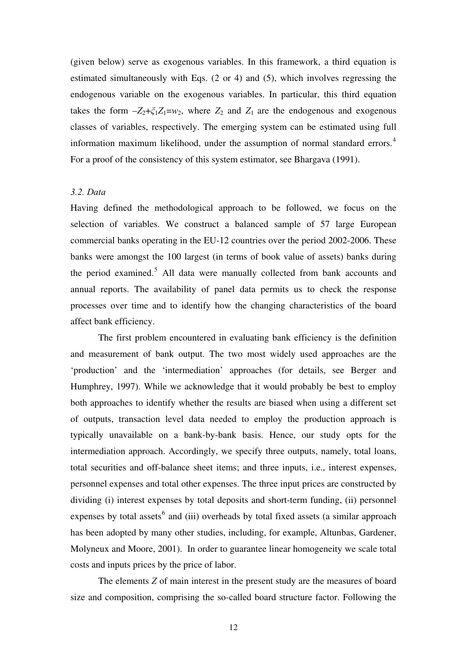(given below) serve as exogenous variables. In this framework, a third equation is estimated simultaneously with Eqs. (2 or 4) and (5), which involves regressing the endogenous variable on the exogenous variables. In particular, this third equation takes the form  $-Z_2+\xi_1Z_1=w_2$ , where  $Z_2$  and  $Z_1$  are the endogenous and exogenous classes of variables, respectively. The emerging system can be estimated using full information maximum likelihood, under the assumption of normal standard errors.<sup>[4](#page-29-1)</sup> For a proof of the consistency of this system estimator, see Bhargava (1991).

#### *3.2. Data*

Having defined the methodological approach to be followed, we focus on the selection of variables. We construct a balanced sample of 57 large European commercial banks operating in the EU-12 countries over the period 2002-2006. These banks were amongst the 100 largest (in terms of book value of assets) banks during the period examined.<sup>[5](#page-29-1)</sup> All data were manually collected from bank accounts and annual reports. The availability of panel data permits us to check the response processes over time and to identify how the changing characteristics of the board affect bank efficiency.

The first problem encountered in evaluating bank efficiency is the definition and measurement of bank output. The two most widely used approaches are the 'production' and the 'intermediation' approaches (for details, see Berger and Humphrey, 1997). While we acknowledge that it would probably be best to employ both approaches to identify whether the results are biased when using a different set of outputs, transaction level data needed to employ the production approach is typically unavailable on a bank-by-bank basis. Hence, our study opts for the intermediation approach. Accordingly, we specify three outputs, namely, total loans, total securities and off-balance sheet items; and three inputs, i.e., interest expenses, personnel expenses and total other expenses. The three input prices are constructed by dividing (i) interest expenses by total deposits and short-term funding, (ii) personnel expenses by total assets<sup>[6](#page-29-1)</sup> and (iii) overheads by total fixed assets (a similar approach has been adopted by many other studies, including, for example, Altunbas, Gardener, Molyneux and Moore, 2001). In order to guarantee linear homogeneity we scale total costs and inputs prices by the price of labor.

The elements *Z* of main interest in the present study are the measures of board size and composition, comprising the so-called board structure factor. Following the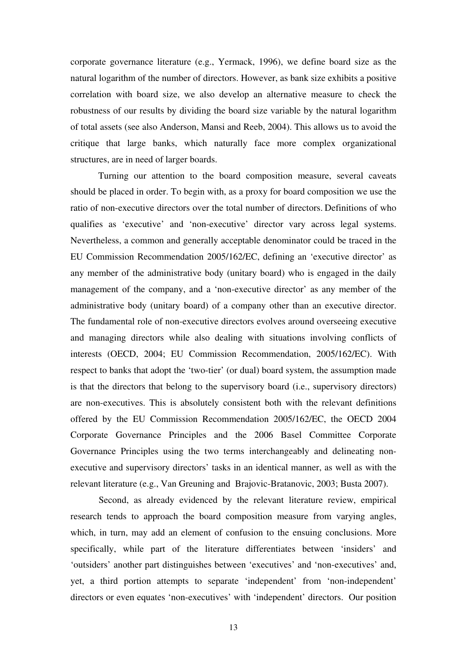corporate governance literature (e.g., Yermack, 1996), we define board size as the natural logarithm of the number of directors. However, as bank size exhibits a positive correlation with board size, we also develop an alternative measure to check the robustness of our results by dividing the board size variable by the natural logarithm of total assets (see also Anderson, Mansi and Reeb, 2004). This allows us to avoid the critique that large banks, which naturally face more complex organizational structures, are in need of larger boards.

Turning our attention to the board composition measure, several caveats should be placed in order. To begin with, as a proxy for board composition we use the ratio of non-executive directors over the total number of directors. Definitions of who qualifies as 'executive' and 'non-executive' director vary across legal systems. Nevertheless, a common and generally acceptable denominator could be traced in the EU Commission Recommendation 2005/162/EC, defining an 'executive director' as any member of the administrative body (unitary board) who is engaged in the daily management of the company, and a 'non-executive director' as any member of the administrative body (unitary board) of a company other than an executive director. The fundamental role of non-executive directors evolves around overseeing executive and managing directors while also dealing with situations involving conflicts of interests (OECD, 2004; EU Commission Recommendation, 2005/162/EC). With respect to banks that adopt the 'two-tier' (or dual) board system, the assumption made is that the directors that belong to the supervisory board (i.e., supervisory directors) are non-executives. This is absolutely consistent both with the relevant definitions offered by the EU Commission Recommendation 2005/162/EC, the OECD 2004 Corporate Governance Principles and the 2006 Basel Committee Corporate Governance Principles using the two terms interchangeably and delineating nonexecutive and supervisory directors' tasks in an identical manner, as well as with the relevant literature (e.g., Van Greuning and Brajovic-Bratanovic, 2003; Busta 2007).

Second, as already evidenced by the relevant literature review, empirical research tends to approach the board composition measure from varying angles, which, in turn, may add an element of confusion to the ensuing conclusions. More specifically, while part of the literature differentiates between 'insiders' and 'outsiders' another part distinguishes between 'executives' and 'non-executives' and, yet, a third portion attempts to separate 'independent' from 'non-independent' directors or even equates 'non-executives' with 'independent' directors. Our position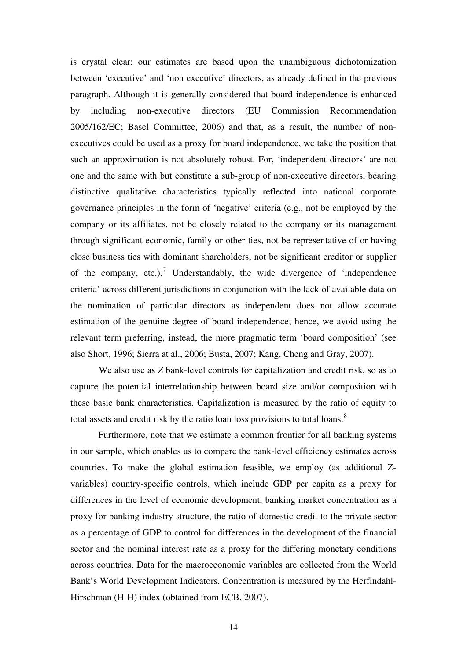is crystal clear: our estimates are based upon the unambiguous dichotomization between 'executive' and 'non executive' directors, as already defined in the previous paragraph. Although it is generally considered that board independence is enhanced by including non-executive directors (EU Commission Recommendation 2005/162/EC; Basel Committee, 2006) and that, as a result, the number of nonexecutives could be used as a proxy for board independence, we take the position that such an approximation is not absolutely robust. For, 'independent directors' are not one and the same with but constitute a sub-group of non-executive directors, bearing distinctive qualitative characteristics typically reflected into national corporate governance principles in the form of 'negative' criteria (e.g., not be employed by the company or its affiliates, not be closely related to the company or its management through significant economic, family or other ties, not be representative of or having close business ties with dominant shareholders, not be significant creditor or supplier of the company, etc.).<sup>[7](#page-29-1)</sup> Understandably, the wide divergence of 'independence criteria' across different jurisdictions in conjunction with the lack of available data on the nomination of particular directors as independent does not allow accurate estimation of the genuine degree of board independence; hence, we avoid using the relevant term preferring, instead, the more pragmatic term 'board composition' (see also Short, 1996; Sierra at al., 2006; Busta, 2007; Kang, Cheng and Gray, 2007).

We also use as *Z* bank-level controls for capitalization and credit risk, so as to capture the potential interrelationship between board size and/or composition with these basic bank characteristics. Capitalization is measured by the ratio of equity to total assets and credit risk by the ratio loan loss provisions to total loans.<sup>[8](#page-29-1)</sup>

Furthermore, note that we estimate a common frontier for all banking systems in our sample, which enables us to compare the bank-level efficiency estimates across countries. To make the global estimation feasible, we employ (as additional Zvariables) country-specific controls, which include GDP per capita as a proxy for differences in the level of economic development, banking market concentration as a proxy for banking industry structure, the ratio of domestic credit to the private sector as a percentage of GDP to control for differences in the development of the financial sector and the nominal interest rate as a proxy for the differing monetary conditions across countries. Data for the macroeconomic variables are collected from the World Bank's World Development Indicators. Concentration is measured by the Herfindahl-Hirschman (H-H) index (obtained from ECB, 2007).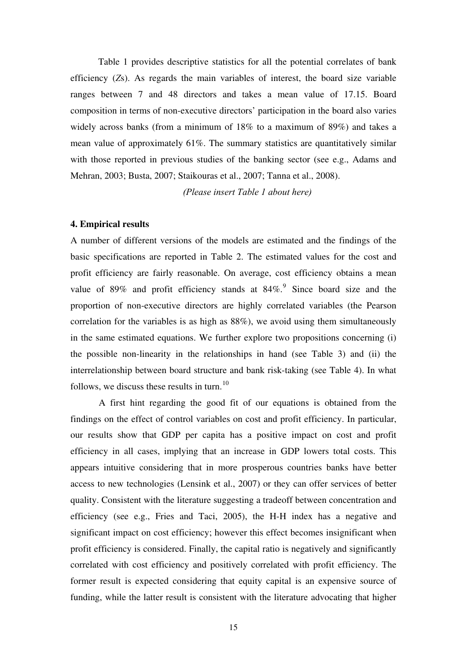Table 1 provides descriptive statistics for all the potential correlates of bank efficiency (*Z*s). As regards the main variables of interest, the board size variable ranges between 7 and 48 directors and takes a mean value of 17.15. Board composition in terms of non-executive directors' participation in the board also varies widely across banks (from a minimum of 18% to a maximum of 89%) and takes a mean value of approximately 61%. The summary statistics are quantitatively similar with those reported in previous studies of the banking sector (see e.g., Adams and Mehran, 2003; Busta, 2007; Staikouras et al., 2007; Tanna et al., 2008).

*(Please insert Table 1 about here)* 

#### **4. Empirical results**

A number of different versions of the models are estimated and the findings of the basic specifications are reported in Table 2. The estimated values for the cost and profit efficiency are fairly reasonable. On average, cost efficiency obtains a mean value of 8[9](#page-29-1)% and profit efficiency stands at  $84\%$ . Since board size and the proportion of non-executive directors are highly correlated variables (the Pearson correlation for the variables is as high as 88%), we avoid using them simultaneously in the same estimated equations. We further explore two propositions concerning (i) the possible non-linearity in the relationships in hand (see Table 3) and (ii) the interrelationship between board structure and bank risk-taking (see Table 4). In what follows, we discuss these results in turn. $10$ 

A first hint regarding the good fit of our equations is obtained from the findings on the effect of control variables on cost and profit efficiency. In particular, our results show that GDP per capita has a positive impact on cost and profit efficiency in all cases, implying that an increase in GDP lowers total costs. This appears intuitive considering that in more prosperous countries banks have better access to new technologies (Lensink et al., 2007) or they can offer services of better quality. Consistent with the literature suggesting a tradeoff between concentration and efficiency (see e.g., Fries and Taci, 2005), the H-H index has a negative and significant impact on cost efficiency; however this effect becomes insignificant when profit efficiency is considered. Finally, the capital ratio is negatively and significantly correlated with cost efficiency and positively correlated with profit efficiency. The former result is expected considering that equity capital is an expensive source of funding, while the latter result is consistent with the literature advocating that higher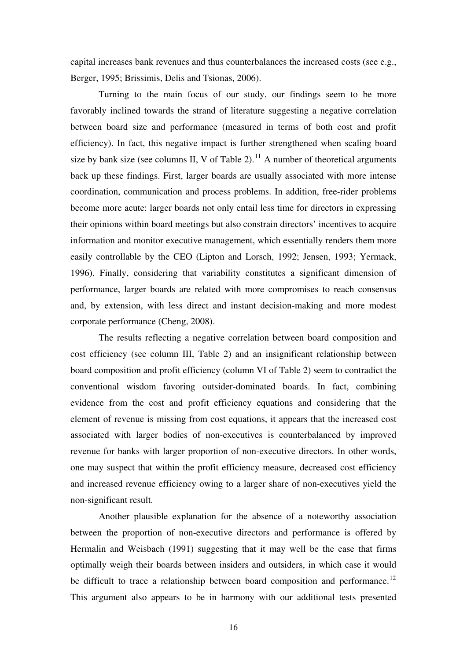capital increases bank revenues and thus counterbalances the increased costs (see e.g., Berger, 1995; Brissimis, Delis and Tsionas, 2006).

Turning to the main focus of our study, our findings seem to be more favorably inclined towards the strand of literature suggesting a negative correlation between board size and performance (measured in terms of both cost and profit efficiency). In fact, this negative impact is further strengthened when scaling board size by bank size (see columns II, V of Table 2).<sup>[11](#page-29-1)</sup> A number of theoretical arguments back up these findings. First, larger boards are usually associated with more intense coordination, communication and process problems. In addition, free-rider problems become more acute: larger boards not only entail less time for directors in expressing their opinions within board meetings but also constrain directors' incentives to acquire information and monitor executive management, which essentially renders them more easily controllable by the CEO (Lipton and Lorsch, 1992; Jensen, 1993; Yermack, 1996). Finally, considering that variability constitutes a significant dimension of performance, larger boards are related with more compromises to reach consensus and, by extension, with less direct and instant decision-making and more modest corporate performance (Cheng, 2008).

The results reflecting a negative correlation between board composition and cost efficiency (see column III, Table 2) and an insignificant relationship between board composition and profit efficiency (column VI of Table 2) seem to contradict the conventional wisdom favoring outsider-dominated boards. In fact, combining evidence from the cost and profit efficiency equations and considering that the element of revenue is missing from cost equations, it appears that the increased cost associated with larger bodies of non-executives is counterbalanced by improved revenue for banks with larger proportion of non-executive directors. In other words, one may suspect that within the profit efficiency measure, decreased cost efficiency and increased revenue efficiency owing to a larger share of non-executives yield the non-significant result.

Another plausible explanation for the absence of a noteworthy association between the proportion of non-executive directors and performance is offered by Hermalin and Weisbach (1991) suggesting that it may well be the case that firms optimally weigh their boards between insiders and outsiders, in which case it would be difficult to trace a relationship between board composition and performance.<sup>[12](#page-29-1)</sup> This argument also appears to be in harmony with our additional tests presented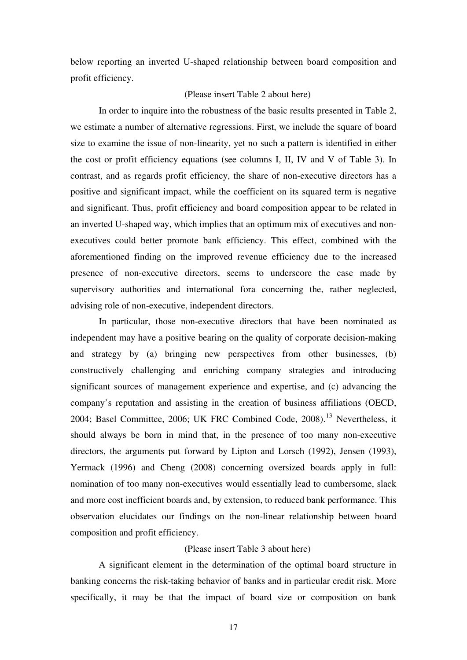below reporting an inverted U-shaped relationship between board composition and profit efficiency.

#### (Please insert Table 2 about here)

In order to inquire into the robustness of the basic results presented in Table 2, we estimate a number of alternative regressions. First, we include the square of board size to examine the issue of non-linearity, yet no such a pattern is identified in either the cost or profit efficiency equations (see columns I, II, IV and V of Table 3). In contrast, and as regards profit efficiency, the share of non-executive directors has a positive and significant impact, while the coefficient on its squared term is negative and significant. Thus, profit efficiency and board composition appear to be related in an inverted U-shaped way, which implies that an optimum mix of executives and nonexecutives could better promote bank efficiency. This effect, combined with the aforementioned finding on the improved revenue efficiency due to the increased presence of non-executive directors, seems to underscore the case made by supervisory authorities and international fora concerning the, rather neglected, advising role of non-executive, independent directors.

In particular, those non-executive directors that have been nominated as independent may have a positive bearing on the quality of corporate decision-making and strategy by (a) bringing new perspectives from other businesses, (b) constructively challenging and enriching company strategies and introducing significant sources of management experience and expertise, and (c) advancing the company's reputation and assisting in the creation of business affiliations (OECD, 2004; Basel Committee, 2006; UK FRC Combined Code, 2008).[13](#page-29-1) Nevertheless, it should always be born in mind that, in the presence of too many non-executive directors, the arguments put forward by Lipton and Lorsch (1992), Jensen (1993), Yermack (1996) and Cheng (2008) concerning oversized boards apply in full: nomination of too many non-executives would essentially lead to cumbersome, slack and more cost inefficient boards and, by extension, to reduced bank performance. This observation elucidates our findings on the non-linear relationship between board composition and profit efficiency.

#### (Please insert Table 3 about here)

A significant element in the determination of the optimal board structure in banking concerns the risk-taking behavior of banks and in particular credit risk. More specifically, it may be that the impact of board size or composition on bank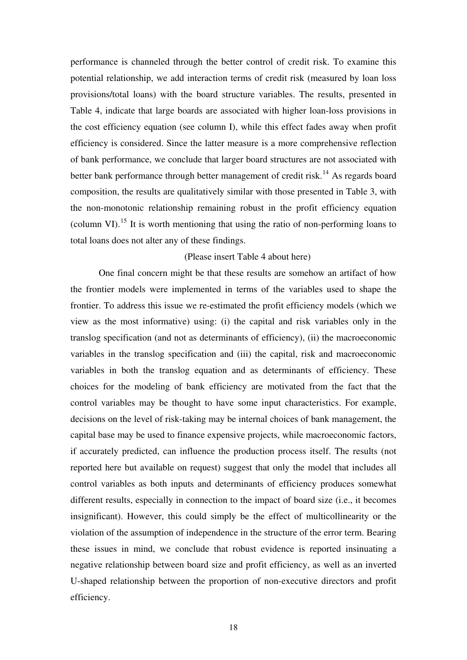performance is channeled through the better control of credit risk. To examine this potential relationship, we add interaction terms of credit risk (measured by loan loss provisions/total loans) with the board structure variables. The results, presented in Table 4, indicate that large boards are associated with higher loan-loss provisions in the cost efficiency equation (see column I), while this effect fades away when profit efficiency is considered. Since the latter measure is a more comprehensive reflection of bank performance, we conclude that larger board structures are not associated with better bank performance through better management of credit risk.<sup>[14](#page-29-1)</sup> As regards board composition, the results are qualitatively similar with those presented in Table 3, with the non-monotonic relationship remaining robust in the profit efficiency equation (column VI).[15](#page-29-1) It is worth mentioning that using the ratio of non-performing loans to total loans does not alter any of these findings.

#### (Please insert Table 4 about here)

One final concern might be that these results are somehow an artifact of how the frontier models were implemented in terms of the variables used to shape the frontier. To address this issue we re-estimated the profit efficiency models (which we view as the most informative) using: (i) the capital and risk variables only in the translog specification (and not as determinants of efficiency), (ii) the macroeconomic variables in the translog specification and (iii) the capital, risk and macroeconomic variables in both the translog equation and as determinants of efficiency. These choices for the modeling of bank efficiency are motivated from the fact that the control variables may be thought to have some input characteristics. For example, decisions on the level of risk-taking may be internal choices of bank management, the capital base may be used to finance expensive projects, while macroeconomic factors, if accurately predicted, can influence the production process itself. The results (not reported here but available on request) suggest that only the model that includes all control variables as both inputs and determinants of efficiency produces somewhat different results, especially in connection to the impact of board size (i.e., it becomes insignificant). However, this could simply be the effect of multicollinearity or the violation of the assumption of independence in the structure of the error term. Bearing these issues in mind, we conclude that robust evidence is reported insinuating a negative relationship between board size and profit efficiency, as well as an inverted U-shaped relationship between the proportion of non-executive directors and profit efficiency.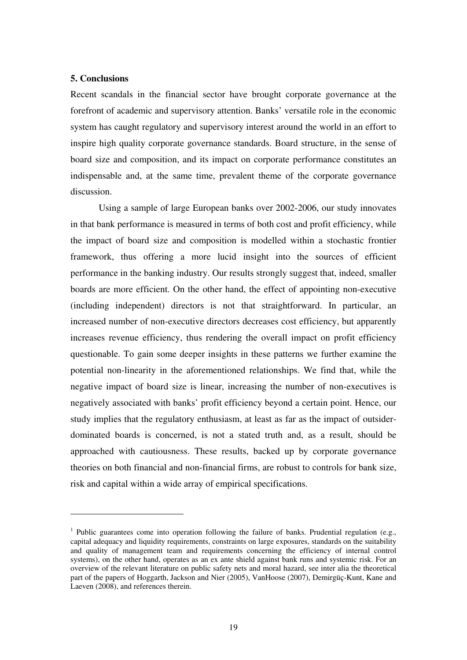#### **5. Conclusions**

 $\overline{a}$ 

Recent scandals in the financial sector have brought corporate governance at the forefront of academic and supervisory attention. Banks' versatile role in the economic system has caught regulatory and supervisory interest around the world in an effort to inspire high quality corporate governance standards. Board structure, in the sense of board size and composition, and its impact on corporate performance constitutes an indispensable and, at the same time, prevalent theme of the corporate governance discussion.

Using a sample of large European banks over 2002-2006, our study innovates in that bank performance is measured in terms of both cost and profit efficiency, while the impact of board size and composition is modelled within a stochastic frontier framework, thus offering a more lucid insight into the sources of efficient performance in the banking industry. Our results strongly suggest that, indeed, smaller boards are more efficient. On the other hand, the effect of appointing non-executive (including independent) directors is not that straightforward. In particular, an increased number of non-executive directors decreases cost efficiency, but apparently increases revenue efficiency, thus rendering the overall impact on profit efficiency questionable. To gain some deeper insights in these patterns we further examine the potential non-linearity in the aforementioned relationships. We find that, while the negative impact of board size is linear, increasing the number of non-executives is negatively associated with banks' profit efficiency beyond a certain point. Hence, our study implies that the regulatory enthusiasm, at least as far as the impact of outsiderdominated boards is concerned, is not a stated truth and, as a result, should be approached with cautiousness. These results, backed up by corporate governance theories on both financial and non-financial firms, are robust to controls for bank size, risk and capital within a wide array of empirical specifications.

<sup>&</sup>lt;sup>1</sup> Public guarantees come into operation following the failure of banks. Prudential regulation (e.g., capital adequacy and liquidity requirements, constraints on large exposures, standards on the suitability and quality of management team and requirements concerning the efficiency of internal control systems), on the other hand, operates as an ex ante shield against bank runs and systemic risk. For an overview of the relevant literature on public safety nets and moral hazard, see inter alia the theoretical part of the papers of Hoggarth, Jackson and Nier (2005), VanHoose (2007), Demirgüç-Kunt, Kane and Laeven (2008), and references therein.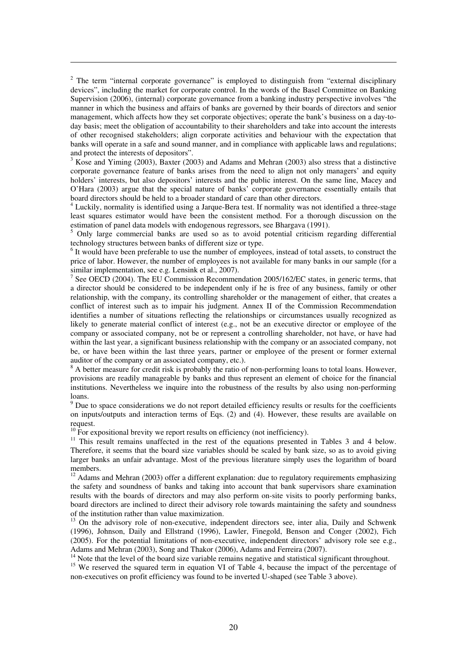$2$  The term "internal corporate governance" is employed to distinguish from "external disciplinary devices", including the market for corporate control. In the words of the Basel Committee on Banking Supervision (2006), (internal) corporate governance from a banking industry perspective involves "the manner in which the business and affairs of banks are governed by their boards of directors and senior management, which affects how they set corporate objectives; operate the bank's business on a day-today basis; meet the obligation of accountability to their shareholders and take into account the interests of other recognised stakeholders; align corporate activities and behaviour with the expectation that banks will operate in a safe and sound manner, and in compliance with applicable laws and regulations; and protect the interests of depositors".

1

 $3$  Kose and Yiming (2003), Baxter (2003) and Adams and Mehran (2003) also stress that a distinctive corporate governance feature of banks arises from the need to align not only managers' and equity holders' interests, but also depositors' interests and the public interest. On the same line, Macey and O'Hara (2003) argue that the special nature of banks' corporate governance essentially entails that board directors should be held to a broader standard of care than other directors.

<sup>4</sup> Luckily, normality is identified using a Jarque-Bera test. If normality was not identified a three-stage least squares estimator would have been the consistent method. For a thorough discussion on the estimation of panel data models with endogenous regressors, see Bhargava (1991).

<sup>5</sup> Only large commercial banks are used so as to avoid potential criticism regarding differential technology structures between banks of different size or type.

<sup>6</sup> It would have been preferable to use the number of employees, instead of total assets, to construct the price of labor. However, the number of employees is not available for many banks in our sample (for a similar implementation, see e.g. Lensink et al., 2007).<br><sup>7</sup> See OECD (2004). The EU Commission Recommendation 2005/162/EC states, in generic terms, that

a director should be considered to be independent only if he is free of any business, family or other relationship, with the company, its controlling shareholder or the management of either, that creates a conflict of interest such as to impair his judgment. Annex II of the Commission Recommendation identifies a number of situations reflecting the relationships or circumstances usually recognized as likely to generate material conflict of interest (e.g., not be an executive director or employee of the company or associated company, not be or represent a controlling shareholder, not have, or have had within the last year, a significant business relationship with the company or an associated company, not be, or have been within the last three years, partner or employee of the present or former external auditor of the company or an associated company, etc.).

<sup>8</sup> A better measure for credit risk is probably the ratio of non-performing loans to total loans. However, provisions are readily manageable by banks and thus represent an element of choice for the financial institutions. Nevertheless we inquire into the robustness of the results by also using non-performing loans.

<sup>9</sup> Due to space considerations we do not report detailed efficiency results or results for the coefficients on inputs/outputs and interaction terms of Eqs. (2) and (4). However, these results are available on request.

 $10 \text{ F}$  For expositional brevity we report results on efficiency (not inefficiency).

<sup>11</sup> This result remains unaffected in the rest of the equations presented in Tables 3 and 4 below. Therefore, it seems that the board size variables should be scaled by bank size, so as to avoid giving larger banks an unfair advantage. Most of the previous literature simply uses the logarithm of board members.

 $12$  Adams and Mehran (2003) offer a different explanation: due to regulatory requirements emphasizing the safety and soundness of banks and taking into account that bank supervisors share examination results with the boards of directors and may also perform on-site visits to poorly performing banks, board directors are inclined to direct their advisory role towards maintaining the safety and soundness of the institution rather than value maximization.

<sup>13</sup> On the advisory role of non-executive, independent directors see, inter alia, Daily and Schwenk (1996), Johnson, Daily and Ellstrand (1996), Lawler, Finegold, Benson and Conger (2002), Fich (2005). For the potential limitations of non-executive, independent directors' advisory role see e.g., Adams and Mehran (2003), Song and Thakor (2006), Adams and Ferreira (2007).

<sup>14</sup> Note that the level of the board size variable remains negative and statistical significant throughout.

<sup>15</sup> We reserved the squared term in equation VI of Table 4, because the impact of the percentage of non-executives on profit efficiency was found to be inverted U-shaped (see Table 3 above).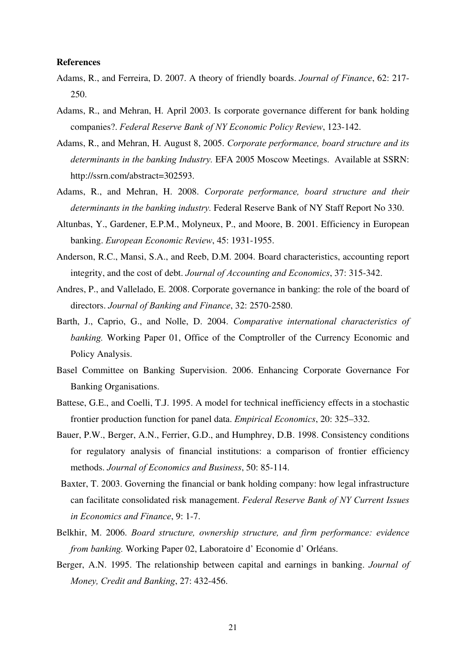#### **References**

- Adams, R., and Ferreira, D. 2007. A theory of friendly boards. *Journal of Finance*, 62: 217- 250.
- Adams, R., and Mehran, H. April 2003. Is corporate governance different for bank holding companies?. *Federal Reserve Bank of NY Economic Policy Review*, 123-142.
- Adams, R., and Mehran, H. August 8, 2005. *Corporate performance, board structure and its determinants in the banking Industry.* EFA 2005 Moscow Meetings. Available at SSRN: http://ssrn.com/abstract=302593.
- Adams, R., and Mehran, H. 2008. *Corporate performance, board structure and their determinants in the banking industry.* Federal Reserve Bank of NY Staff Report No 330.
- Altunbas, Y., Gardener, E.P.M., Molyneux, P., and Moore, B. 2001. Efficiency in European banking. *European Economic Review*, 45: 1931-1955.
- Anderson, R.C., Mansi, S.A., and Reeb, D.M. 2004. Board characteristics, accounting report integrity, and the cost of debt. *Journal of Accounting and Economics*, 37: 315-342.
- Andres, P., and Vallelado, E. 2008. Corporate governance in banking: the role of the board of directors. *Journal of Banking and Finance*, 32: 2570-2580.
- Barth, J., Caprio, G., and Nolle, D. 2004. *Comparative international characteristics of banking.* Working Paper 01, Office of the Comptroller of the Currency Economic and Policy Analysis.
- Basel Committee on Banking Supervision. 2006. Enhancing Corporate Governance For Banking Organisations.
- Battese, G.E., and Coelli, T.J. 1995. A model for technical inefficiency effects in a stochastic frontier production function for panel data. *Empirical Economics*, 20: 325–332.
- Bauer, P.W., Berger, A.N., Ferrier, G.D., and Humphrey, D.B. 1998. Consistency conditions for regulatory analysis of financial institutions: a comparison of frontier efficiency methods. *Journal of Economics and Business*, 50: 85-114.
- Baxter, T. 2003. Governing the financial or bank holding company: how legal infrastructure can facilitate consolidated risk management. *Federal Reserve Bank of NY Current Issues in Economics and Finance*, 9: 1-7.
- Belkhir, M. 2006. *Board structure, ownership structure, and firm performance: evidence from banking.* Working Paper 02, Laboratoire d' Economie d' Orléans.
- Berger, A.N. 1995. The relationship between capital and earnings in banking. *Journal of Money, Credit and Banking*, 27: 432-456.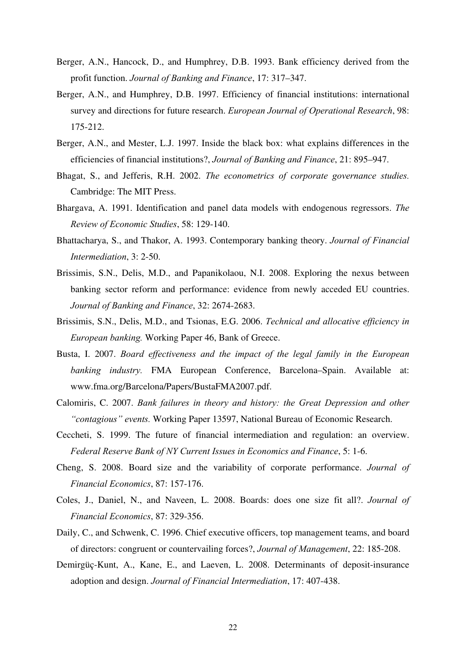- Berger, A.N., Hancock, D., and Humphrey, D.B. 1993. Bank efficiency derived from the profit function. *Journal of Banking and Finance*, 17: 317–347.
- Berger, A.N., and Humphrey, D.B. 1997. Efficiency of financial institutions: international survey and directions for future research. *European Journal of Operational Research*, 98: 175-212.
- Berger, A.N., and Mester, L.J. 1997. Inside the black box: what explains differences in the efficiencies of financial institutions?, *Journal of Banking and Finance*, 21: 895–947.
- Bhagat, S., and Jefferis, R.H. 2002. *The econometrics of corporate governance studies.* Cambridge: The MIT Press.
- Bhargava, A. 1991. Identification and panel data models with endogenous regressors. *The Review of Economic Studies*, 58: 129-140.
- Bhattacharya, S., and Thakor, A. 1993. Contemporary banking theory. *Journal of Financial Intermediation*, 3: 2-50.
- Brissimis, S.N., Delis, M.D., and Papanikolaou, N.I. 2008. Exploring the nexus between banking sector reform and performance: evidence from newly acceded EU countries. *Journal of Banking and Finance*, 32: 2674-2683.
- Brissimis, S.N., Delis, M.D., and Tsionas, E.G. 2006. *Technical and allocative efficiency in European banking.* Working Paper 46, Bank of Greece.
- Busta, I. 2007. *Board effectiveness and the impact of the legal family in the European banking industry.* FMA European Conference, Barcelona–Spain. Available at: [www.fma.org/Barcelona/Papers/BustaFMA2007.pdf.](http://www.fma.org/Barcelona/Papers/BustaFMA2007.pdf)
- Calomiris, C. 2007. *Bank failures in theory and history: the Great Depression and other "contagious" events.* Working Paper 13597, National Bureau of Economic Research.
- Ceccheti, S. 1999. The future of financial intermediation and regulation: an overview. *Federal Reserve Bank of NY Current Issues in Economics and Finance*, 5: 1-6.
- Cheng, S. 2008. Board size and the variability of corporate performance. *Journal of Financial Economics*, 87: 157-176.
- Coles, J., Daniel, N., and Naveen, L. 2008. Boards: does one size fit all?. *Journal of Financial Economics*, 87: 329-356.
- Daily, C., and Schwenk, C. 1996. Chief executive officers, top management teams, and board of directors: congruent or countervailing forces?, *Journal of Management*, 22: 185-208.
- Demirgüç-Kunt, A., Kane, E., and Laeven, L. 2008. Determinants of deposit-insurance adoption and design. *Journal of Financial Intermediation*, 17: 407-438.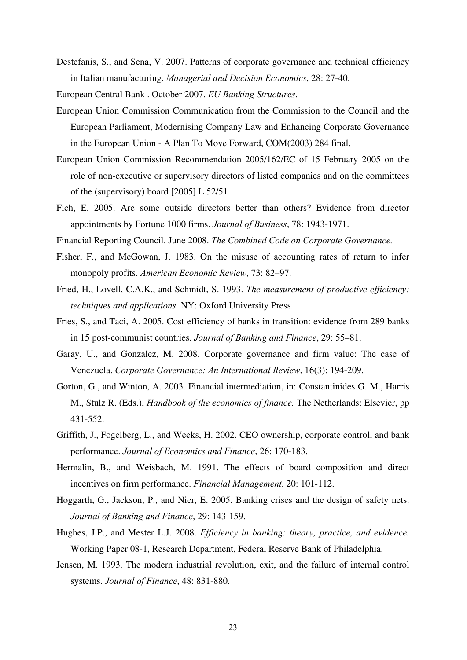Destefanis, S., and Sena, V. 2007. Patterns of corporate governance and technical efficiency in Italian manufacturing. *Managerial and Decision Economics*, 28: 27-40.

European Central Bank . October 2007. *EU Banking Structures*.

- European Union Commission Communication from the Commission to the Council and the European Parliament, Modernising Company Law and Enhancing Corporate Governance in the European Union - A Plan To Move Forward, COM(2003) 284 final.
- European Union Commission Recommendation 2005/162/EC of 15 February 2005 on the role of non-executive or supervisory directors of listed companies and on the committees of the (supervisory) board [2005] L 52/51.
- Fich, E. 2005. Are some outside directors better than others? Evidence from director appointments by Fortune 1000 firms. *Journal of Business*, 78: 1943-1971.

Financial Reporting Council. June 2008. *The Combined Code on Corporate Governance.*

- Fisher, F., and McGowan, J. 1983. On the misuse of accounting rates of return to infer monopoly profits. *American Economic Review*, 73: 82–97.
- Fried, H., Lovell, C.A.K., and Schmidt, S. 1993. *The measurement of productive efficiency: techniques and applications.* NY: Oxford University Press.
- Fries, S., and Taci, A. 2005. Cost efficiency of banks in transition: evidence from 289 banks in 15 post-communist countries. *Journal of Banking and Finance*, 29: 55–81.
- Garay, U., and Gonzalez, M. 2008. Corporate governance and firm value: The case of Venezuela. *Corporate Governance: An International Review*, 16(3): 194-209.
- Gorton, G., and Winton, A. 2003. Financial intermediation, in: Constantinides G. M., Harris M., Stulz R. (Eds.), *Handbook of the economics of finance.* The Netherlands: Elsevier, pp 431-552.
- Griffith, J., Fogelberg, L., and Weeks, H. 2002. CEO ownership, corporate control, and bank performance. *Journal of Economics and Finance*, 26: 170-183.
- Hermalin, B., and Weisbach, M. 1991. The effects of board composition and direct incentives on firm performance. *Financial Management*, 20: 101-112.
- Hoggarth, G., Jackson, P., and Nier, E. 2005. Banking crises and the design of safety nets. *Journal of Banking and Finance*, 29: 143-159.
- Hughes, J.P., and Mester L.J. 2008. *Efficiency in banking: theory, practice, and evidence.*  Working Paper 08-1, Research Department, Federal Reserve Bank of Philadelphia.
- Jensen, M. 1993. The modern industrial revolution, exit, and the failure of internal control systems. *Journal of Finance*, 48: 831-880.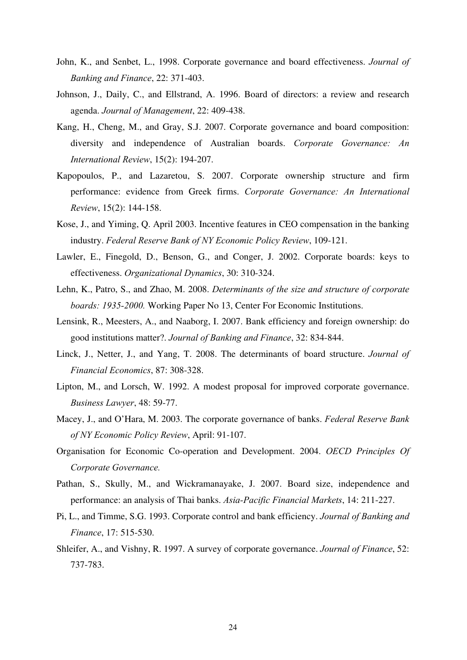- John, K., and Senbet, L., 1998. Corporate governance and board effectiveness. *Journal of Banking and Finance*, 22: 371-403.
- Johnson, J., Daily, C., and Ellstrand, A. 1996. Board of directors: a review and research agenda. *Journal of Management*, 22: 409-438.
- Kang, H., Cheng, M., and Gray, S.J. 2007. Corporate governance and board composition: diversity and independence of Australian boards. *Corporate Governance: An International Review*, 15(2): 194-207.
- Kapopoulos, P., and Lazaretou, S. 2007. Corporate ownership structure and firm performance: evidence from Greek firms. *Corporate Governance: An International Review*, 15(2): 144-158.
- Kose, J., and Yiming, Q. April 2003. Incentive features in CEO compensation in the banking industry. *Federal Reserve Bank of NY Economic Policy Review*, 109-121.
- Lawler, E., Finegold, D., Benson, G., and Conger, J. 2002. Corporate boards: keys to effectiveness. *Organizational Dynamics*, 30: 310-324.
- Lehn, K., Patro, S., and Zhao, M. 2008. *Determinants of the size and structure of corporate boards: 1935-2000.* Working Paper No 13, Center For Economic Institutions.
- Lensink, R., Meesters, A., and Naaborg, I. 2007. Bank efficiency and foreign ownership: do good institutions matter?. *Journal of Banking and Finance*, 32: 834-844.
- Linck, J., Netter, J., and Yang, T. 2008. The determinants of board structure. *Journal of Financial Economics*, 87: 308-328.
- Lipton, M., and Lorsch, W. 1992. A modest proposal for improved corporate governance. *Business Lawyer*, 48: 59-77.
- Macey, J., and O'Hara, M. 2003. The corporate governance of banks. *Federal Reserve Bank of NY Economic Policy Review*, April: 91-107.
- Organisation for Economic Co-operation and Development. 2004. *OECD Principles Of Corporate Governance.*
- Pathan, S., Skully, M., and Wickramanayake, J. 2007. Board size, independence and performance: an analysis of Thai banks. *Asia-Pacific Financial Markets*, 14: 211-227.
- Pi, L., and Timme, S.G. 1993. Corporate control and bank efficiency. *Journal of Banking and Finance*, 17: 515-530.
- Shleifer, A., and Vishny, R. 1997. A survey of corporate governance. *Journal of Finance*, 52: 737-783.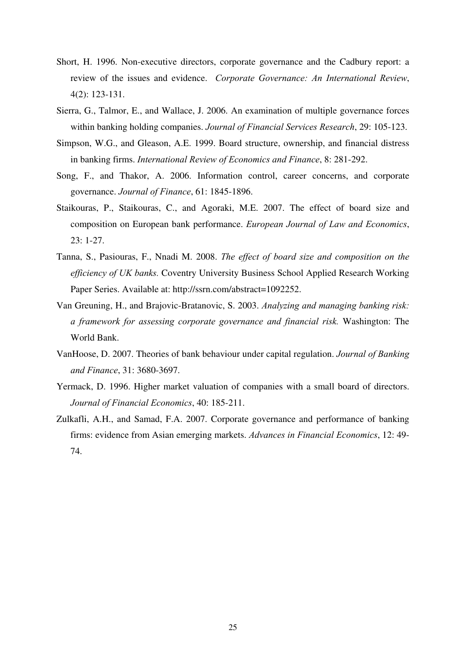- Short, H. 1996. Non-executive directors, corporate governance and the Cadbury report: a review of the issues and evidence. *Corporate Governance: An International Review*, 4(2): 123-131.
- Sierra, G., Talmor, E., and Wallace, J. 2006. An examination of multiple governance forces within banking holding companies. *Journal of Financial Services Research*, 29: 105-123.
- Simpson, W.G., and Gleason, A.E. 1999. Board structure, ownership, and financial distress in banking firms. *International Review of Economics and Finance*, 8: 281-292.
- Song, F., and Thakor, A. 2006. Information control, career concerns, and corporate governance. *Journal of Finance*, 61: 1845-1896.
- Staikouras, P., Staikouras, C., and Agoraki, M.E. 2007. The effect of board size and composition on European bank performance. *European Journal of Law and Economics*, 23: 1-27.
- Tanna, S., Pasiouras, F., Nnadi M. 2008. *The effect of board size and composition on the efficiency of UK banks.* Coventry University Business School Applied Research Working Paper Series. Available at: http://ssrn.com/abstract=1092252.
- Van Greuning, H., and Brajovic-Bratanovic, S. 2003. *Analyzing and managing banking risk: a framework for assessing corporate governance and financial risk.* Washington: The World Bank.
- VanHoose, D. 2007. Theories of bank behaviour under capital regulation. *Journal of Banking and Finance*, 31: 3680-3697.
- Yermack, D. 1996. Higher market valuation of companies with a small board of directors. *Journal of Financial Economics*, 40: 185-211.
- Zulkafli, A.H., and Samad, F.A. 2007. Corporate governance and performance of banking firms: evidence from Asian emerging markets. *Advances in Financial Economics*, 12: 49- 74.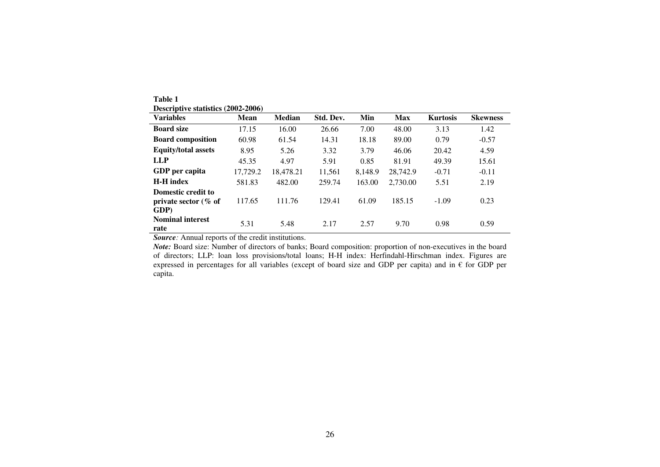| Descriptive statistics (2002-2006)                     |             |               |           |         |            |                 |                 |  |
|--------------------------------------------------------|-------------|---------------|-----------|---------|------------|-----------------|-----------------|--|
| <b>Variables</b>                                       | <b>Mean</b> | <b>Median</b> | Std. Dev. | Min     | <b>Max</b> | <b>Kurtosis</b> | <b>Skewness</b> |  |
| <b>Board size</b>                                      | 17.15       | 16.00         | 26.66     | 7.00    | 48.00      | 3.13            | 1.42            |  |
| <b>Board composition</b>                               | 60.98       | 61.54         | 14.31     | 18.18   | 89.00      | 0.79            | $-0.57$         |  |
| <b>Equity/total assets</b>                             | 8.95        | 5.26          | 3.32      | 3.79    | 46.06      | 20.42           | 4.59            |  |
| <b>LLP</b>                                             | 45.35       | 4.97          | 5.91      | 0.85    | 81.91      | 49.39           | 15.61           |  |
| GDP per capita                                         | 17,729.2    | 18,478.21     | 11,561    | 8,148.9 | 28,742.9   | $-0.71$         | $-0.11$         |  |
| <b>H-H</b> index                                       | 581.83      | 482.00        | 259.74    | 163.00  | 2,730.00   | 5.51            | 2.19            |  |
| Domestic credit to<br>private sector ( $\%$ of<br>GDP) | 117.65      | 111.76        | 129.41    | 61.09   | 185.15     | $-1.09$         | 0.23            |  |
| <b>Nominal interest</b><br>rate                        | 5.31        | 5.48          | 2.17      | 2.57    | 9.70       | 0.98            | 0.59            |  |

**Table 1**   $\frac{1}{2}$   $\frac{1}{2}$   $\frac{1}{2}$   $\frac{1}{2}$   $\frac{1}{2}$   $\frac{1}{2}$   $\frac{1}{2}$   $\frac{1}{2}$   $\frac{1}{2}$   $\frac{1}{2}$   $\frac{1}{2}$   $\frac{1}{2}$   $\frac{1}{2}$   $\frac{1}{2}$   $\frac{1}{2}$   $\frac{1}{2}$   $\frac{1}{2}$   $\frac{1}{2}$   $\frac{1}{2}$   $\frac{1}{2}$   $\frac{1}{2}$   $\frac{1}{2}$ 

*Source:* Annual reports of the credit institutions.

*Note:* Board size: Number of directors of banks; Board composition: proportion of non-executives in the board of directors; LLP: loan loss provisions/total loans; H-H index: Herfindahl-Hirschman index. Figures are expressed in percentages for all variables (except of board size and GDP per capita) and in € for GDP per capita.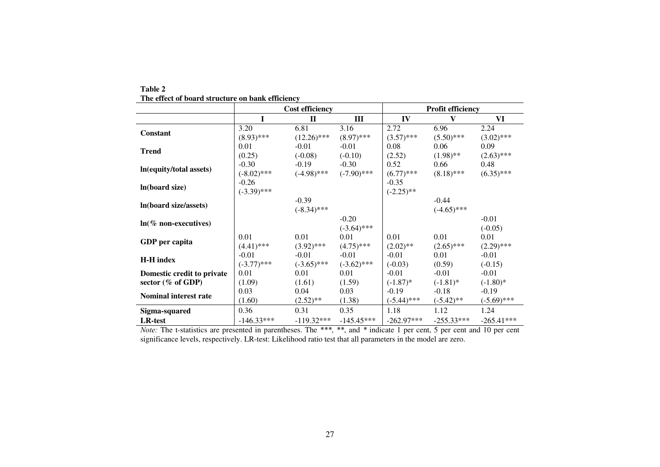|                            | <b>Cost efficiency</b> |               |               | <b>Profit efficiency</b> |               |               |
|----------------------------|------------------------|---------------|---------------|--------------------------|---------------|---------------|
|                            | I                      | $\mathbf{I}$  | Ш             | IV                       | V             | VI            |
| <b>Constant</b>            | 3.20                   | 6.81          | 3.16          | 2.72                     | 6.96          | 2.24          |
|                            | $(8.93)$ ***           | $(12.26)$ *** | $(8.97)$ ***  | $(3.57)$ ***             | $(5.50)$ ***  | $(3.02)$ ***  |
| <b>Trend</b>               | 0.01                   | $-0.01$       | $-0.01$       | 0.08                     | 0.06          | 0.09          |
|                            | (0.25)                 | $(-0.08)$     | $(-0.10)$     | (2.52)                   | $(1.98)$ **   | $(2.63)$ ***  |
|                            | $-0.30$                | $-0.19$       | $-0.30$       | 0.52                     | 0.66          | 0.48          |
| In(equity/total assets)    | $(-8.02)$ ***          | $(-4.98)$ *** | $(-7.90)$ *** | $(6.77)$ ***             | $(8.18)$ ***  | $(6.35)$ ***  |
| In(board size)             | $-0.26$                |               |               | $-0.35$                  |               |               |
|                            | $(-3.39)$ ***          |               |               | $(-2.25)$ **             |               |               |
| In(board size/assets)      |                        | $-0.39$       |               |                          | $-0.44$       |               |
|                            |                        | $(-8.34)$ *** |               |                          | $(-4.65)$ *** |               |
| $ln($ % non-executives)    |                        |               | $-0.20$       |                          |               | $-0.01$       |
|                            |                        |               | $(-3.64)$ *** |                          |               | $(-0.05)$     |
| GDP per capita             | 0.01                   | 0.01          | 0.01          | 0.01                     | 0.01          | 0.01          |
|                            | $(4.41)$ ***           | $(3.92)$ ***  | $(4.75)$ ***  | $(2.02)$ **              | $(2.65)$ ***  | $(2.29)$ ***  |
| <b>H-H</b> index           | $-0.01$                | $-0.01$       | $-0.01$       | $-0.01$                  | 0.01          | $-0.01$       |
|                            | $(-3.77)$ ***          | $(-3.65)$ *** | $(-3.62)$ *** | $(-0.03)$                | (0.59)        | $(-0.15)$     |
| Domestic credit to private | 0.01                   | 0.01          | 0.01          | $-0.01$                  | $-0.01$       | $-0.01$       |
| sector $(\%$ of GDP)       | (1.09)                 | (1.61)        | (1.59)        | $(-1.87)$ *              | $(-1.81)^*$   | $(-1.80)$ *   |
| Nominal interest rate      | 0.03                   | 0.04          | 0.03          | $-0.19$                  | $-0.18$       | $-0.19$       |
|                            | (1.60)                 | $(2.52)$ **   | (1.38)        | $(-5.44)$ ***            | $(-5.42)$ **  | $(-5.69)$ *** |
| Sigma-squared              | 0.36                   | 0.31          | 0.35          | 1.18                     | 1.12          | 1.24          |
| <b>LR-test</b>             | $-146.33***$           | $-119.32***$  | $-145.45***$  | $-262.97***$             | $-255.33***$  | $-265.41***$  |

#### **Table 2 The effect of board structure on bank efficiency**

*Note:* The t-statistics are presented in parentheses. The *\*\*\**, *\*\**, and *\** indicate 1 per cent, 5 per cent and 10 per cent significance levels, respectively. LR-test: Likelihood ratio test that all parameters in the model are zero.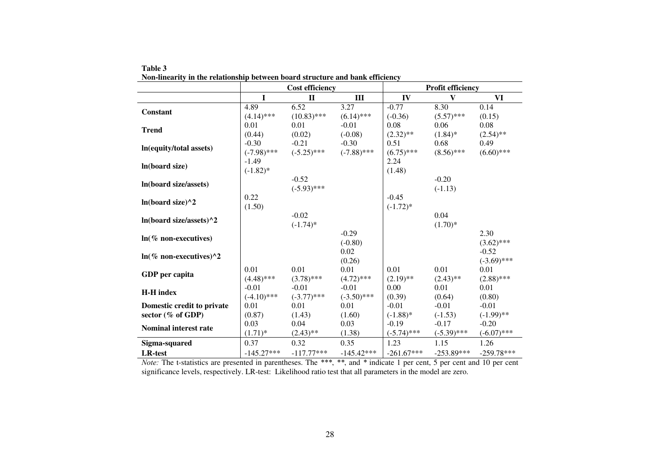|                              |               | <b>Cost efficiency</b> |               | <b>Profit efficiency</b> |               |               |  |
|------------------------------|---------------|------------------------|---------------|--------------------------|---------------|---------------|--|
|                              | $\mathbf I$   | $\mathbf{I}$           | Ш             | IV                       | V             | VI            |  |
| <b>Constant</b>              | 4.89          | 6.52                   | 3.27          | $-0.77$                  | 8.30          | 0.14          |  |
|                              | $(4.14)$ ***  | $(10.83)$ ***          | $(6.14)$ ***  | $(-0.36)$                | $(5.57)$ ***  | (0.15)        |  |
| <b>Trend</b>                 | 0.01          | 0.01                   | $-0.01$       | 0.08                     | 0.06          | 0.08          |  |
|                              | (0.44)        | (0.02)                 | $(-0.08)$     | $(2.32)$ **              | $(1.84)$ *    | $(2.54)$ **   |  |
|                              | $-0.30$       | $-0.21$                | $-0.30$       | 0.51                     | 0.68          | 0.49          |  |
| In(equity/total assets)      | $(-7.98)$ *** | $(-5.25)$ ***          | $(-7.88)$ *** | $(6.75)$ ***             | $(8.56)$ ***  | $(6.60)$ ***  |  |
|                              | $-1.49$       |                        |               | 2.24                     |               |               |  |
| In(board size)               | $(-1.82)$ *   |                        |               | (1.48)                   |               |               |  |
|                              |               | $-0.52$                |               |                          | $-0.20$       |               |  |
| In(board size/assets)        |               | $(-5.93)$ ***          |               |                          | $(-1.13)$     |               |  |
| In(board size) $\frac{1}{2}$ | 0.22          |                        |               | $-0.45$                  |               |               |  |
|                              | (1.50)        |                        |               | $(-1.72)$ *              |               |               |  |
|                              |               | $-0.02$                |               |                          | 0.04          |               |  |
| In(board size/assets)^2      |               | $(-1.74)$ *            |               |                          | $(1.70)*$     |               |  |
|                              |               |                        | $-0.29$       |                          |               | 2.30          |  |
| $ln(\%$ non-executives)      |               |                        | $(-0.80)$     |                          |               | $(3.62)$ ***  |  |
|                              |               |                        | 0.02          |                          |               | $-0.52$       |  |
| $ln(\%$ non-executives)^2    |               |                        | (0.26)        |                          |               | $(-3.69)$ *** |  |
|                              | 0.01          | 0.01                   | 0.01          | 0.01                     | 0.01          | 0.01          |  |
| GDP per capita               | $(4.48)$ ***  | $(3.78)$ ***           | $(4.72)$ ***  | $(2.19)$ **              | $(2.43)$ **   | $(2.88)$ ***  |  |
|                              | $-0.01$       | $-0.01$                | $-0.01$       | 0.00                     | 0.01          | 0.01          |  |
| <b>H-H</b> index             | $(-4.10)$ *** | $(-3.77)$ ***          | $(-3.50)$ *** | (0.39)                   | (0.64)        | (0.80)        |  |
| Domestic credit to private   | 0.01          | 0.01                   | 0.01          | $-0.01$                  | $-0.01$       | $-0.01$       |  |
| sector (% of GDP)            | (0.87)        | (1.43)                 | (1.60)        | $(-1.88)$ *              | $(-1.53)$     | $(-1.99)$ **  |  |
|                              | 0.03          | 0.04                   | 0.03          | $-0.19$                  | $-0.17$       | $-0.20$       |  |
| Nominal interest rate        | $(1.71)^*$    | $(2.43)$ **            | (1.38)        | $(-5.74)$ ***            | $(-5.39)$ *** | $(-6.07)$ *** |  |
| Sigma-squared                | 0.37          | 0.32                   | 0.35          | 1.23                     | 1.15          | 1.26          |  |
| <b>LR-test</b>               | $-145.27***$  | $-117.77***$           | $-145.42***$  | $-261.67***$             | $-253.89***$  | $-259.78***$  |  |

**Table 3 Non-linearity in the relationship between board structure and bank efficiency** 

*Note:* The t-statistics are presented in parentheses. The *\*\*\**, *\*\**, and *\** indicate 1 per cent, 5 per cent and 10 per cent significance levels, respectively. LR-test: Likelihood ratio test that all parameters in the model are zero.